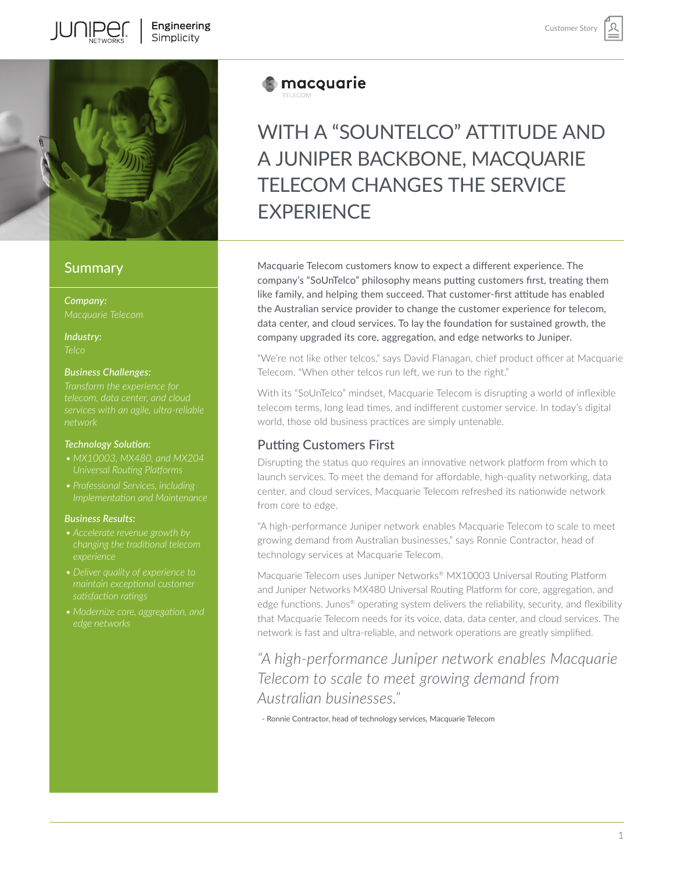

## **Summary**

*Company:*

*Industry:*

#### *Business Challenges:*

*Transform the experience for* 

#### *Technology Solution:*

- *Universal Routing Platforms*
- 

#### *Business Results:*

- *• Accelerate revenue growth by changing the traditional telecom experience*
- *maintain exceptional customer satisfaction ratings*
- *• Modernize core, aggregation, and*



# WITH A "SOUNTELCO" ATTITUDE AND A JUNIPER BACKBONE, MACQUARIE TELECOM CHANGES THE SERVICE **EXPERIENCE**

Customer Stor

Macquarie Telecom customers know to expect a different experience. The company's "SoUnTelco" philosophy means putting customers first, treating them like family, and helping them succeed. That customer-first attitude has enabled the Australian service provider to change the customer experience for telecom, data center, and cloud services. To lay the foundation for sustained growth, the company upgraded its core, aggregation, and edge networks to Juniper.

"We're not like other telcos," says David Flanagan, chief product officer at Macquarie Telecom. "When other telcos run left, we run to the right."

With its "SoUnTelco" mindset, Macquarie Telecom is disrupting a world of inflexible telecom terms, long lead times, and indifferent customer service. In today's digital world, those old business practices are simply untenable.

## Putting Customers First

Disrupting the status quo requires an innovative network platform from which to launch services. To meet the demand for affordable, high-quality networking, data center, and cloud services, Macquarie Telecom refreshed its nationwide network from core to edge.

"A high-performance Juniper network enables Macquarie Telecom to scale to meet growing demand from Australian businesses," says Ronnie Contractor, head of technology services at Macquarie Telecom.

Macquarie Telecom uses Juniper Networks® MX10003 Universal Routing Platform and Juniper Networks MX480 Universal Routing Platform for core, aggregation, and edge functions. Junos<sup>®</sup> operating system delivers the reliability, security, and flexibility that Macquarie Telecom needs for its voice, data, data center, and cloud services. The network is fast and ultra-reliable, and network operations are greatly simplified.

*"A high-performance Juniper network enables Macquarie Telecom to scale to meet growing demand from Australian businesses."* 

- Ronnie Contractor, head of technology services, Macquarie Telecom